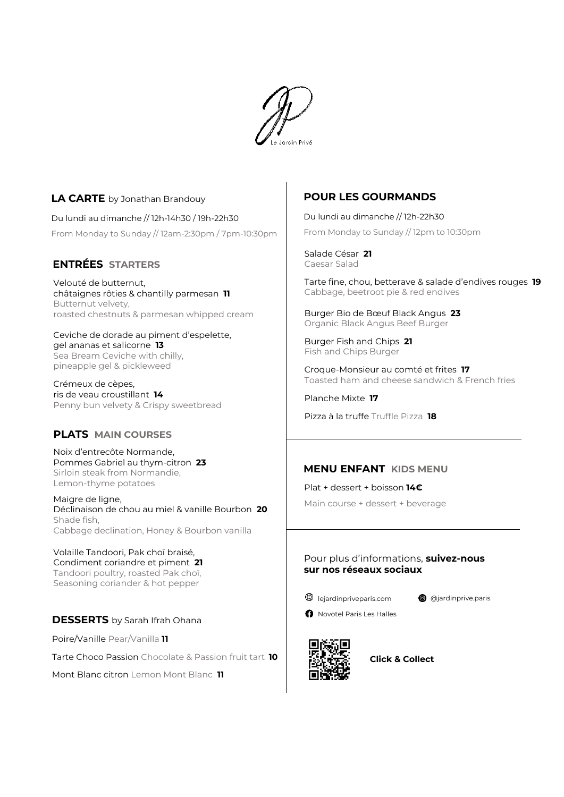

# **LA CARTE** by Jonathan Brandouy

Du lundi au dimanche // 12h-14h30 / 19h-22h30 From Monday to Sunday // 12am-2:30pm / 7pm-10:30pm

## **ENTRÉES STARTERS**

Velouté de butternut, châtaignes rôties & chantilly parmesan **11** Butternut velvety, roasted chestnuts & parmesan whipped cream

Ceviche de dorade au piment d'espelette, gel ananas et salicorne **13** Sea Bream Ceviche with chilly, pineapple gel & pickleweed

Crémeux de cèpes, ris de veau croustillant **14** Penny bun velvety & Crispy sweetbread

# **PLATS MAIN COURSES**

Noix d'entrecôte Normande, Pommes Gabriel au thym-citron **23** Sirloin steak from Normandie, Lemon-thyme potatoes

Maigre de ligne, Déclinaison de chou au miel & vanille Bourbon **20** Shade fish, Cabbage declination, Honey & Bourbon vanilla

Volaille Tandoori, Pak choï braisé, Condiment coriandre et piment **21** Tandoori poultry, roasted Pak choï, Seasoning coriander & hot pepper

## **DESSERTS** by Sarah Ifrah Ohana

Poire/Vanille Pear/Vanilla **11**

Tarte Choco Passion Chocolate & Passion fruit tart **10**

Mont Blanc citron Lemon Mont Blanc **11**

# **POUR LES GOURMANDS**

Du lundi au dimanche // 12h-22h30 From Monday to Sunday // 12pm to 10:30pm

Salade César **21** Caesar Salad

Tarte fine, chou, betterave & salade d'endives rouges **19** Cabbage, beetroot pie & red endives

Burger Bio de Bœuf Black Angus **23** Organic Black Angus Beef Burger

Burger Fish and Chips **21** Fish and Chips Burger

Croque-Monsieur au comté et frites **17** Toasted ham and cheese sandwich & French fries

Planche Mixte **17**

Pizza à la truffe Truffle Pizza **18**

## **MENU ENFANT KIDS MENU**

Plat + dessert + boisson **14€** Main course + dessert + beverage

### Pour plus d'informations, **suivez-nous sur nos réseaux sociaux**



**@** @jardinprive.paris





**Click & Collect**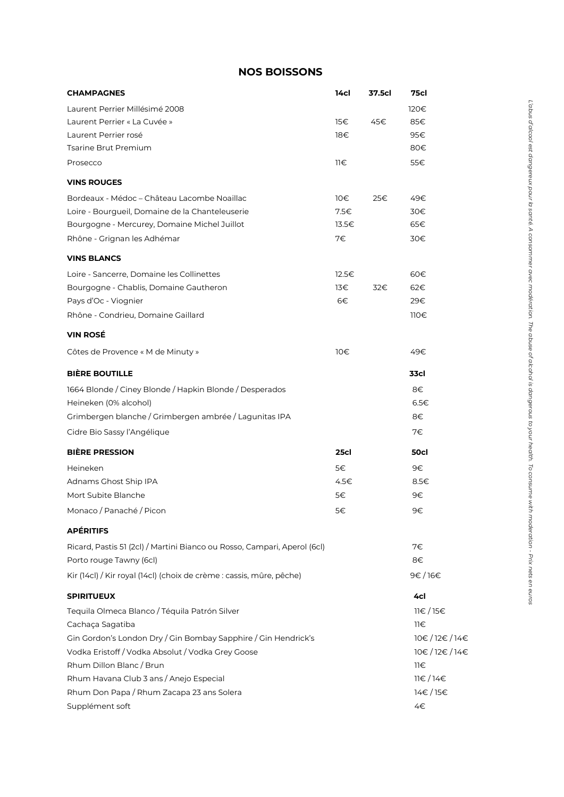# **NOS BOISSONS**

| <b>CHAMPAGNES</b>                                                        | 14cl  | 37.5cl | 75cl        |
|--------------------------------------------------------------------------|-------|--------|-------------|
| Laurent Perrier Millésimé 2008                                           |       |        | 120€        |
| Laurent Perrier « La Cuvée »                                             | 15€   | 45€    | 85€         |
| Laurent Perrier rosé                                                     | 18€   |        | 95€         |
| <b>Tsarine Brut Premium</b>                                              |       |        | 80€         |
| Prosecco                                                                 | 11€   |        | 55€         |
| <b>VINS ROUGES</b>                                                       |       |        |             |
| Bordeaux - Médoc - Château Lacombe Noaillac                              | 10E   | 25€    | 49€         |
| Loire - Bourqueil, Domaine de la Chanteleuserie                          | 7.5€  |        | 30€         |
| Bourgogne - Mercurey, Domaine Michel Juillot                             | 13.5€ |        | 65€         |
| Rhône - Grignan les Adhémar                                              | 7€    |        | 30€         |
| <b>VINS BLANCS</b>                                                       |       |        |             |
| Loire - Sancerre, Domaine les Collinettes                                | 12.5€ |        | 60€         |
| Bourgogne - Chablis, Domaine Gautheron                                   | 13€   | 32€    | 62€         |
| Pays d'Oc - Viognier                                                     | 6€    |        | 29€         |
| Rhône - Condrieu, Domaine Gaillard                                       |       |        | 110€        |
| <b>VIN ROSÉ</b>                                                          |       |        |             |
| Côtes de Provence « M de Minuty »                                        | 10€   |        | 49€         |
| <b>BIÈRE BOUTILLE</b>                                                    |       |        | 33cl        |
| 1664 Blonde / Ciney Blonde / Hapkin Blonde / Desperados                  |       |        | 8€          |
| Heineken (0% alcohol)                                                    |       |        | 6.5€        |
| Grimbergen blanche / Grimbergen ambrée / Lagunitas IPA                   |       |        | 8€          |
| Cidre Bio Sassy l'Angélique                                              |       |        | 7€          |
| <b>BIÈRE PRESSION</b>                                                    | 25cl  |        | 50cl        |
| Heineken                                                                 | 5€    |        | 9€          |
| Adnams Ghost Ship IPA                                                    | 4.5€  |        | 8.5€        |
| Mort Subite Blanche                                                      | 5€    |        | 9€          |
| Monaco / Panaché / Picon                                                 | 5€    |        | 9€          |
| <b>APÉRITIFS</b>                                                         |       |        |             |
| Ricard, Pastis 51 (2cl) / Martini Bianco ou Rosso, Campari, Aperol (6cl) |       |        | 7€          |
| Porto rouge Tawny (6cl)                                                  |       |        | 8€          |
| Kir (14cl) / Kir royal (14cl) (choix de crème : cassis, mûre, pêche)     |       |        | 9€/16€      |
| <b>SPIRITUEUX</b>                                                        |       |        | 4cl         |
| Tequila Olmeca Blanco / Téquila Patrón Silver                            |       |        | 11€/15€     |
| Cachaça Sagatiba                                                         |       |        | $11 \in$    |
| Gin Gordon's London Dry / Gin Bombay Sapphire / Gin Hendrick's           |       |        | 10€/12€/14€ |
| Vodka Eristoff / Vodka Absolut / Vodka Grey Goose                        |       |        | 10€/12€/14€ |
| Rhum Dillon Blanc / Brun                                                 |       |        | 11€         |
| Rhum Havana Club 3 ans / Anejo Especial                                  |       |        | 11€/14€     |
| Rhum Don Papa / Rhum Zacapa 23 ans Solera                                |       |        | 14€/15€     |
| Supplément soft                                                          |       |        | 4€          |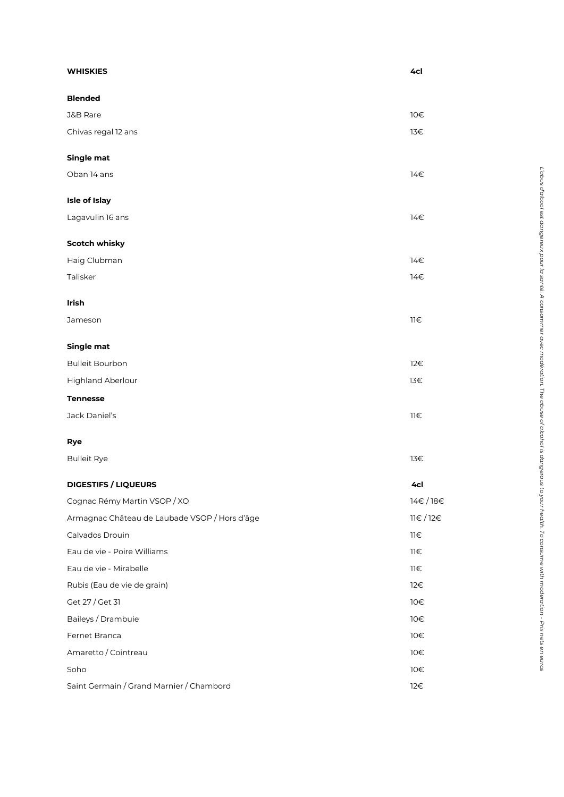| <b>WHISKIES</b>                               | 4cl                   |
|-----------------------------------------------|-----------------------|
| <b>Blended</b>                                |                       |
| <b>J&amp;B Rare</b>                           | 10€                   |
| Chivas regal 12 ans                           | 13€                   |
| Single mat                                    |                       |
| Oban 14 ans                                   | 14€                   |
| Isle of Islay                                 |                       |
| Lagavulin 16 ans                              | 14€                   |
| <b>Scotch whisky</b>                          |                       |
| Haig Clubman                                  | 14€                   |
| Talisker                                      | 14€                   |
| Irish                                         |                       |
| Jameson                                       | $\exists \exists \in$ |
| Single mat                                    |                       |
| <b>Bulleit Bourbon</b>                        | 12€                   |
| Highland Aberlour                             | 13€                   |
| <b>Tennesse</b>                               |                       |
| Jack Daniel's                                 | $\exists \exists \in$ |
| <b>Rye</b>                                    |                       |
| <b>Bulleit Rye</b>                            | 13€                   |
| <b>DIGESTIFS / LIQUEURS</b>                   | 4cl                   |
| Cognac Rémy Martin VSOP / XO                  | 14€/18€               |
| Armagnac Château de Laubade VSOP / Hors d'âge | 11€/12€               |
| Calvados Drouin                               | $\exists \exists \in$ |
| Eau de vie - Poire Williams                   | $\exists \exists \in$ |
| Eau de vie - Mirabelle                        | 11€                   |
| Rubis (Eau de vie de grain)                   | 12€                   |
| Get 27 / Get 31                               | 10€                   |
| Baileys / Drambuie                            | 10€                   |
| Fernet Branca                                 | 10€                   |
| Amaretto / Cointreau                          | 10€                   |
| Soho                                          | 10€                   |
| Saint Germain / Grand Marnier / Chambord      | 12€                   |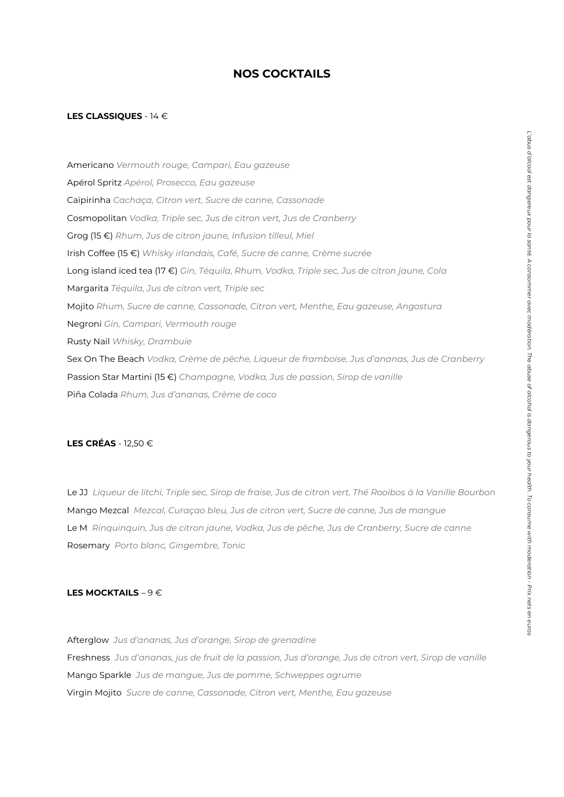## **NOS COCKTAILS**

#### **LES CLASSIQUES** - 14 €

Americano *Vermouth rouge, Campari, Eau gazeuse* Apérol Spritz *Apérol, Prosecco, Eau gazeuse* Caïpirinha *Cachaça, Citron vert, Sucre de canne, Cassonade* Cosmopolitan *Vodka, Triple sec, Jus de citron vert, Jus de Cranberry* Grog (15 €) *Rhum, Jus de citron jaune, Infusion tilleul, Miel* Irish Coffee (15 €) *Whisky irlandais, Café, Sucre de canne, Crème sucrée* Long island iced tea (17 €) *Gin, Téquila, Rhum, Vodka, Triple sec, Jus de citron jaune, Cola* Margarita *Téquila, Jus de citron vert, Triple sec* Mojito *Rhum, Sucre de canne, Cassonade, Citron vert, Menthe, Eau gazeuse, Angostura* Negroni *Gin, Campari, Vermouth rouge* Rusty Nail *Whisky, Drambuie* Sex On The Beach *Vodka, Crème de pêche, Liqueur de framboise, Jus d'ananas, Jus de Cranberry* Passion Star Martini (15 €) *Champagne, Vodka, Jus de passion, Sirop de vanille* Piña Colada *Rhum, Jus d'ananas, Crème de coco*

#### **LES CRÉAS** - 12,50 €

Le JJ *Liqueur de litchi, Triple sec, Sirop de fraise, Jus de citron vert, Thé Rooibos à la Vanille Bourbon* Mango Mezcal *Mezcal, Curaçao bleu, Jus de citron vert, Sucre de canne, Jus de mangue* Le M *Rinquinquin, Jus de citron jaune, Vodka, Jus de pêche, Jus de Cranberry, Sucre de canne* Rosemary *Porto blanc, Gingembre, Tonic*

#### **LES MOCKTAILS** – 9 €

Afterglow *Jus d'ananas, Jus d'orange, Sirop de grenadine* Freshness *Jus d'ananas, jus de fruit de la passion, Jus d'orange, Jus de citron vert, Sirop de vanille* Mango Sparkle *Jus de mangue, Jus de pomme, Schweppes agrume* Virgin Mojito *Sucre de canne, Cassonade, Citron vert, Menthe, Eau gazeuse*